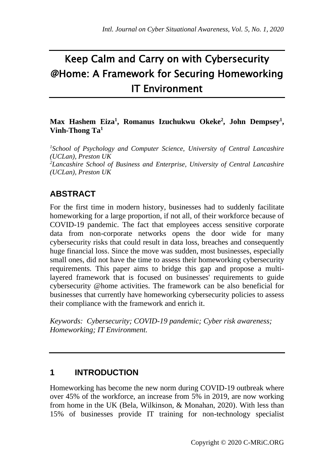# Keep Calm and Carry on with Cybersecurity @Home: A Framework for Securing Homeworking IT Environment

#### **Max Hashem Eiza<sup>1</sup> , Romanus Izuchukwu Okeke<sup>2</sup> , John Dempsey<sup>1</sup> , Vinh-Thong Ta<sup>1</sup>**

<sup>1</sup>*School of Psychology and Computer Science, University of Central Lancashire (UCLan), Preston UK <sup>2</sup>Lancashire School of Business and Enterprise, University of Central Lancashire (UCLan), Preston UK*

# **ABSTRACT**

For the first time in modern history, businesses had to suddenly facilitate homeworking for a large proportion, if not all, of their workforce because of COVID-19 pandemic. The fact that employees access sensitive corporate data from non-corporate networks opens the door wide for many cybersecurity risks that could result in data loss, breaches and consequently huge financial loss. Since the move was sudden, most businesses, especially small ones, did not have the time to assess their homeworking cybersecurity requirements. This paper aims to bridge this gap and propose a multilayered framework that is focused on businesses' requirements to guide cybersecurity @home activities. The framework can be also beneficial for businesses that currently have homeworking cybersecurity policies to assess their compliance with the framework and enrich it.

*Keywords: Cybersecurity; COVID-19 pandemic; Cyber risk awareness; Homeworking; IT Environment.* 

## **1 INTRODUCTION**

Homeworking has become the new norm during COVID-19 outbreak where over 45% of the workforce, an increase from 5% in 2019, are now working from home in the UK (Bela, Wilkinson, & Monahan, 2020). With less than 15% of businesses provide IT training for non-technology specialist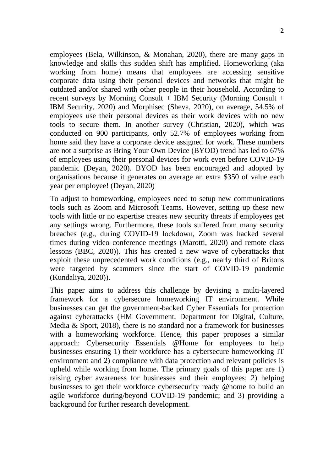employees (Bela, Wilkinson, & Monahan, 2020), there are many gaps in knowledge and skills this sudden shift has amplified. Homeworking (aka working from home) means that employees are accessing sensitive corporate data using their personal devices and networks that might be outdated and/or shared with other people in their household. According to recent surveys by Morning Consult + IBM Security (Morning Consult + IBM Security, 2020) and Morphisec (Sheva, 2020), on average, 54.5% of employees use their personal devices as their work devices with no new tools to secure them. In another survey (Christian, 2020), which was conducted on 900 participants, only 52.7% of employees working from home said they have a corporate device assigned for work. These numbers are not a surprise as Bring Your Own Device (BYOD) trend has led to 67% of employees using their personal devices for work even before COVID-19 pandemic (Deyan, 2020). BYOD has been encouraged and adopted by organisations because it generates on average an extra \$350 of value each year per employee! (Deyan, 2020)

To adjust to homeworking, employees need to setup new communications tools such as Zoom and Microsoft Teams. However, setting up these new tools with little or no expertise creates new security threats if employees get any settings wrong. Furthermore, these tools suffered from many security breaches (e.g., during COVID-19 lockdown, Zoom was hacked several times during video conference meetings (Marotti, 2020) and remote class lessons (BBC, 2020)). This has created a new wave of cyberattacks that exploit these unprecedented work conditions (e.g., nearly third of Britons were targeted by scammers since the start of COVID-19 pandemic (Kundaliya, 2020)).

This paper aims to address this challenge by devising a multi-layered framework for a cybersecure homeworking IT environment. While businesses can get the government-backed Cyber Essentials for protection against cyberattacks (HM Government, Department for Digital, Culture, Media & Sport, 2018), there is no standard nor a framework for businesses with a homeworking workforce. Hence, this paper proposes a similar approach: Cybersecurity Essentials @Home for employees to help businesses ensuring 1) their workforce has a cybersecure homeworking IT environment and 2) compliance with data protection and relevant policies is upheld while working from home. The primary goals of this paper are 1) raising cyber awareness for businesses and their employees; 2) helping businesses to get their workforce cybersecurity ready @home to build an agile workforce during/beyond COVID-19 pandemic; and 3) providing a background for further research development.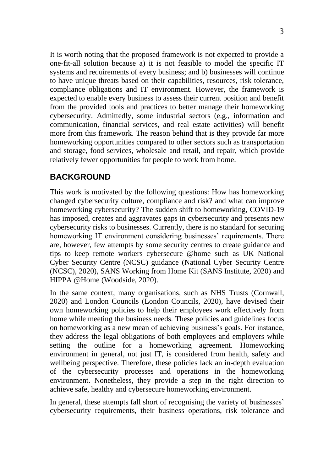It is worth noting that the proposed framework is not expected to provide a one-fit-all solution because a) it is not feasible to model the specific IT systems and requirements of every business; and b) businesses will continue to have unique threats based on their capabilities, resources, risk tolerance, compliance obligations and IT environment. However, the framework is expected to enable every business to assess their current position and benefit from the provided tools and practices to better manage their homeworking cybersecurity. Admittedly, some industrial sectors (e.g., information and communication, financial services, and real estate activities) will benefit more from this framework. The reason behind that is they provide far more homeworking opportunities compared to other sectors such as transportation and storage, food services, wholesale and retail, and repair, which provide relatively fewer opportunities for people to work from home.

### **BACKGROUND**

This work is motivated by the following questions: How has homeworking changed cybersecurity culture, compliance and risk? and what can improve homeworking cybersecurity? The sudden shift to homeworking, COVID-19 has imposed, creates and aggravates gaps in cybersecurity and presents new cybersecurity risks to businesses. Currently, there is no standard for securing homeworking IT environment considering businesses' requirements. There are, however, few attempts by some security centres to create guidance and tips to keep remote workers cybersecure @home such as UK National Cyber Security Centre (NCSC) guidance (National Cyber Security Centre (NCSC), 2020), SANS Working from Home Kit (SANS Institute, 2020) and HIPPA @Home (Woodside, 2020).

In the same context, many organisations, such as NHS Trusts (Cornwall, 2020) and London Councils (London Councils, 2020), have devised their own homeworking policies to help their employees work effectively from home while meeting the business needs. These policies and guidelines focus on homeworking as a new mean of achieving business's goals. For instance, they address the legal obligations of both employees and employers while setting the outline for a homeworking agreement. Homeworking environment in general, not just IT, is considered from health, safety and wellbeing perspective. Therefore, these policies lack an in-depth evaluation of the cybersecurity processes and operations in the homeworking environment. Nonetheless, they provide a step in the right direction to achieve safe, healthy and cybersecure homeworking environment.

In general, these attempts fall short of recognising the variety of businesses' cybersecurity requirements, their business operations, risk tolerance and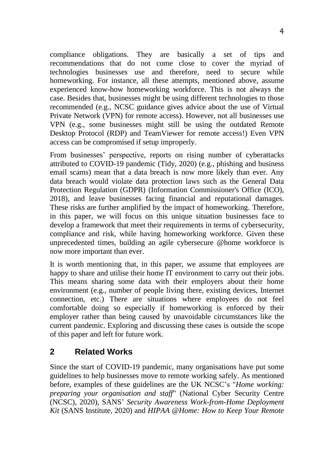compliance obligations. They are basically a set of tips and recommendations that do not come close to cover the myriad of technologies businesses use and therefore, need to secure while homeworking. For instance, all these attempts, mentioned above, assume experienced know-how homeworking workforce. This is not always the case. Besides that, businesses might be using different technologies to those recommended (e.g., NCSC guidance gives advice about the use of Virtual Private Network (VPN) for remote access). However, not all businesses use VPN (e.g., some businesses might still be using the outdated Remote Desktop Protocol (RDP) and TeamViewer for remote access!) Even VPN access can be compromised if setup improperly.

From businesses' perspective, reports on rising number of cyberattacks attributed to COVID-19 pandemic (Tidy, 2020) (e.g., phishing and business email scams) mean that a data breach is now more likely than ever. Any data breach would violate data protection laws such as the General Data Protection Regulation (GDPR) (Information Commissioner's Office (ICO), 2018), and leave businesses facing financial and reputational damages. These risks are further amplified by the impact of homeworking. Therefore, in this paper, we will focus on this unique situation businesses face to develop a framework that meet their requirements in terms of cybersecurity, compliance and risk, while having homeworking workforce. Given these unprecedented times, building an agile cybersecure @home workforce is now more important than ever.

It is worth mentioning that, in this paper, we assume that employees are happy to share and utilise their home IT environment to carry out their jobs. This means sharing some data with their employers about their home environment (e.g., number of people living there, existing devices, Internet connection, etc.) There are situations where employees do not feel comfortable doing so especially if homeworking is enforced by their employer rather than being caused by unavoidable circumstances like the current pandemic. Exploring and discussing these cases is outside the scope of this paper and left for future work.

## **2 Related Works**

Since the start of COVID-19 pandemic, many organisations have put some guidelines to help businesses move to remote working safely. As mentioned before, examples of these guidelines are the UK NCSC's "*Home working: preparing your organisation and staff*" (National Cyber Security Centre (NCSC), 2020), SANS' *Security Awareness Work-from-Home Deployment Kit* (SANS Institute, 2020) and *HIPAA @Home: How to Keep Your Remote*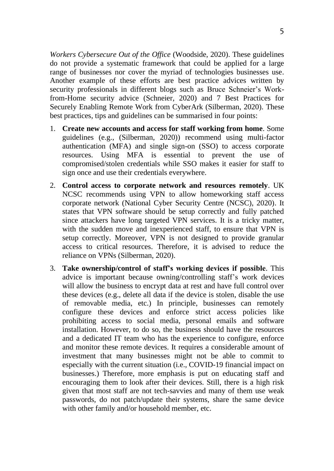*Workers Cybersecure Out of the Office* (Woodside, 2020). These guidelines do not provide a systematic framework that could be applied for a large range of businesses nor cover the myriad of technologies businesses use. Another example of these efforts are best practice advices written by security professionals in different blogs such as Bruce Schneier's Workfrom-Home security advice (Schneier, 2020) and 7 Best Practices for Securely Enabling Remote Work from CyberArk (Silberman, 2020). These best practices, tips and guidelines can be summarised in four points:

- 1. **Create new accounts and access for staff working from home**. Some guidelines (e.g., (Silberman, 2020)) recommend using multi-factor authentication (MFA) and single sign-on (SSO) to access corporate resources. Using MFA is essential to prevent the use of compromised/stolen credentials while SSO makes it easier for staff to sign once and use their credentials everywhere.
- 2. **Control access to corporate network and resources remotely**. UK NCSC recommends using VPN to allow homeworking staff access corporate network (National Cyber Security Centre (NCSC), 2020). It states that VPN software should be setup correctly and fully patched since attackers have long targeted VPN services. It is a tricky matter, with the sudden move and inexperienced staff, to ensure that VPN is setup correctly. Moreover, VPN is not designed to provide granular access to critical resources. Therefore, it is advised to reduce the reliance on VPNs (Silberman, 2020).
- 3. **Take ownership/control of staff's working devices if possible**. This advice is important because owning/controlling staff's work devices will allow the business to encrypt data at rest and have full control over these devices (e.g., delete all data if the device is stolen, disable the use of removable media, etc.) In principle, businesses can remotely configure these devices and enforce strict access policies like prohibiting access to social media, personal emails and software installation. However, to do so, the business should have the resources and a dedicated IT team who has the experience to configure, enforce and monitor these remote devices. It requires a considerable amount of investment that many businesses might not be able to commit to especially with the current situation (i.e., COVID-19 financial impact on businesses.) Therefore, more emphasis is put on educating staff and encouraging them to look after their devices. Still, there is a high risk given that most staff are not tech-savvies and many of them use weak passwords, do not patch/update their systems, share the same device with other family and/or household member, etc.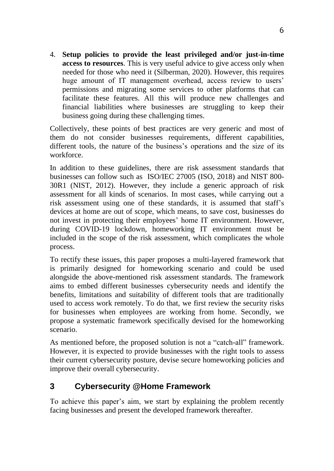4. **Setup policies to provide the least privileged and/or just-in-time access to resources**. This is very useful advice to give access only when needed for those who need it (Silberman, 2020). However, this requires huge amount of IT management overhead, access review to users' permissions and migrating some services to other platforms that can facilitate these features. All this will produce new challenges and financial liabilities where businesses are struggling to keep their business going during these challenging times.

Collectively, these points of best practices are very generic and most of them do not consider businesses requirements, different capabilities, different tools, the nature of the business's operations and the size of its workforce.

In addition to these guidelines, there are risk assessment standards that businesses can follow such as ISO/IEC 27005 (ISO, 2018) and NIST 800- 30R1 (NIST, 2012). However, they include a generic approach of risk assessment for all kinds of scenarios. In most cases, while carrying out a risk assessment using one of these standards, it is assumed that staff's devices at home are out of scope, which means, to save cost, businesses do not invest in protecting their employees' home IT environment. However, during COVID-19 lockdown, homeworking IT environment must be included in the scope of the risk assessment, which complicates the whole process.

To rectify these issues, this paper proposes a multi-layered framework that is primarily designed for homeworking scenario and could be used alongside the above-mentioned risk assessment standards. The framework aims to embed different businesses cybersecurity needs and identify the benefits, limitations and suitability of different tools that are traditionally used to access work remotely. To do that, we first review the security risks for businesses when employees are working from home. Secondly, we propose a systematic framework specifically devised for the homeworking scenario.

As mentioned before, the proposed solution is not a "catch-all" framework. However, it is expected to provide businesses with the right tools to assess their current cybersecurity posture, devise secure homeworking policies and improve their overall cybersecurity.

## **3 Cybersecurity @Home Framework**

To achieve this paper's aim, we start by explaining the problem recently facing businesses and present the developed framework thereafter.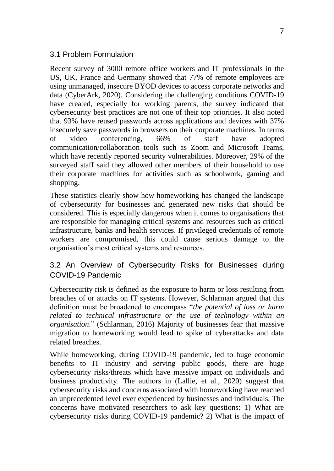#### 3.1 Problem Formulation

Recent survey of 3000 remote office workers and IT professionals in the US, UK, France and Germany showed that 77% of remote employees are using unmanaged, insecure BYOD devices to access corporate networks and data (CyberArk, 2020). Considering the challenging conditions COVID-19 have created, especially for working parents, the survey indicated that cybersecurity best practices are not one of their top priorities. It also noted that 93% have reused passwords across applications and devices with 37% insecurely save passwords in browsers on their corporate machines. In terms of video conferencing, 66% of staff have adopted communication/collaboration tools such as Zoom and Microsoft Teams, which have recently reported security vulnerabilities. Moreover, 29% of the surveyed staff said they allowed other members of their household to use their corporate machines for activities such as schoolwork, gaming and shopping.

These statistics clearly show how homeworking has changed the landscape of cybersecurity for businesses and generated new risks that should be considered. This is especially dangerous when it comes to organisations that are responsible for managing critical systems and resources such as critical infrastructure, banks and health services. If privileged credentials of remote workers are compromised, this could cause serious damage to the organisation's most critical systems and resources.

#### 3.2 An Overview of Cybersecurity Risks for Businesses during COVID-19 Pandemic

Cybersecurity risk is defined as the exposure to harm or loss resulting from breaches of or attacks on IT systems. However, Schlarman argued that this definition must be broadened to encompass "*the potential of loss or harm related to technical infrastructure or the use of technology within an organisation*." (Schlarman, 2016) Majority of businesses fear that massive migration to homeworking would lead to spike of cyberattacks and data related breaches.

While homeworking, during COVID-19 pandemic, led to huge economic benefits to IT industry and serving public goods, there are huge cybersecurity risks/threats which have massive impact on individuals and business productivity. The authors in (Lallie, et al., 2020) suggest that cybersecurity risks and concerns associated with homeworking have reached an unprecedented level ever experienced by businesses and individuals. The concerns have motivated researchers to ask key questions: 1) What are cybersecurity risks during COVID-19 pandemic? 2) What is the impact of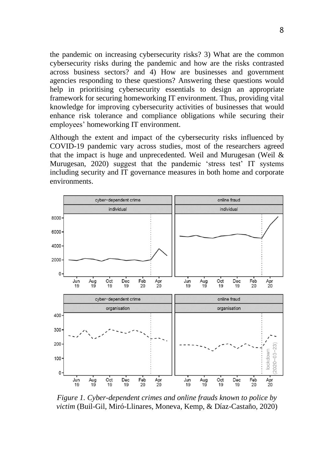the pandemic on increasing cybersecurity risks? 3) What are the common cybersecurity risks during the pandemic and how are the risks contrasted across business sectors? and 4) How are businesses and government agencies responding to these questions? Answering these questions would help in prioritising cybersecurity essentials to design an appropriate framework for securing homeworking IT environment. Thus, providing vital knowledge for improving cybersecurity activities of businesses that would enhance risk tolerance and compliance obligations while securing their employees' homeworking IT environment.

Although the extent and impact of the cybersecurity risks influenced by COVID-19 pandemic vary across studies, most of the researchers agreed that the impact is huge and unprecedented. Weil and Murugesan (Weil  $\&$ Murugesan, 2020) suggest that the pandemic 'stress test' IT systems including security and IT governance measures in both home and corporate environments.



*Figure 1. Cyber-dependent crimes and online frauds known to police by victim* (Buil-Gil, Miró-Llinares, Moneva, Kemp, & Díaz-Castaño, 2020)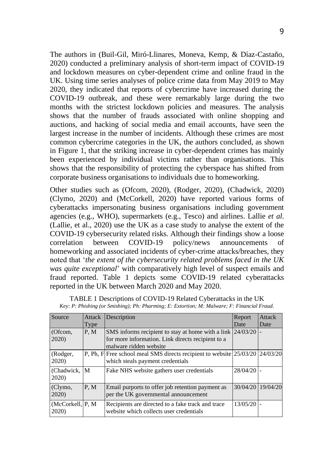The authors in (Buil-Gil, Miró-Llinares, Moneva, Kemp, & Díaz-Castaño, 2020) conducted a preliminary analysis of short-term impact of COVID-19 and lockdown measures on cyber-dependent crime and online fraud in the UK. Using time series analyses of police crime data from May 2019 to May 2020, they indicated that reports of cybercrime have increased during the COVID-19 outbreak, and these were remarkably large during the two months with the strictest lockdown policies and measures. The analysis shows that the number of frauds associated with online shopping and auctions, and hacking of social media and email accounts, have seen the largest increase in the number of incidents. Although these crimes are most common cybercrime categories in the UK, the authors concluded, as shown in Figure 1, that the striking increase in cyber-dependent crimes has mainly been experienced by individual victims rather than organisations. This shows that the responsibility of protecting the cyberspace has shifted from corporate business organisations to individuals due to homeworking.

Other studies such as (Ofcom, 2020), (Rodger, 2020), (Chadwick, 2020) (Clymo, 2020) and (McCorkell, 2020) have reported various forms of cyberattacks impersonating business organisations including government agencies (e.g., WHO), supermarkets (e.g., Tesco) and airlines. Lallie *et al.* (Lallie, et al., 2020) use the UK as a case study to analyse the extent of the COVID-19 cybersecurity related risks. Although their findings show a loose correlation between COVID-19 policy/news announcements of homeworking and associated incidents of cyber-crime attacks/breaches, they noted that '*the extent of the cybersecurity related problems faced in the UK was quite exceptional*' with comparatively high level of suspect emails and fraud reported. Table 1 depicts some COVID-19 related cyberattacks reported in the UK between March 2020 and May 2020.

| Source                     | Attack | Description                                                                                                                      | Report   | Attack            |
|----------------------------|--------|----------------------------------------------------------------------------------------------------------------------------------|----------|-------------------|
|                            | Type   |                                                                                                                                  | Date     | Date              |
| (Ofcom,<br>2020)           | P, M   | SMS informs recipient to stay at home with a link<br>for more information. Link directs recipient to a<br>malware ridden website | 24/03/20 |                   |
| (Rodger,<br>2020)          |        | P, Ph, F Free school meal SMS directs recipient to website 25/03/20 24/03/20<br>which steals payment credentials                 |          |                   |
| (Chadwick,<br>2020)        | M      | Fake NHS website gathers user credentials                                                                                        | 28/04/20 |                   |
| (Clymo,<br>2020)           | P. M   | Email purports to offer job retention payment as<br>per the UK governmental announcement                                         |          | 30/04/20 19/04/20 |
| (McCorkell, P, M)<br>2020) |        | Recipients are directed to a fake track and trace<br>website which collects user credentials                                     | 13/05/20 |                   |

|  |  | TABLE 1 Descriptions of COVID-19 Related Cyberattacks in the UK                             |  |
|--|--|---------------------------------------------------------------------------------------------|--|
|  |  | Key: P: Phishing (or Smishing); Ph: Pharming; E: Extortion; M: Malware; F: Financial Fraud. |  |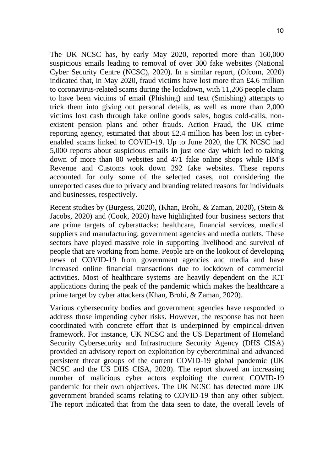The UK NCSC has, by early May 2020, reported more than 160,000 suspicious emails leading to removal of over 300 fake websites (National Cyber Security Centre (NCSC), 2020). In a similar report, (Ofcom, 2020) indicated that, in May 2020, fraud victims have lost more than £4.6 million to coronavirus-related scams during the lockdown, with 11,206 people claim to have been victims of email (Phishing) and text (Smishing) attempts to trick them into giving out personal details, as well as more than 2,000 victims lost cash through fake online goods sales, bogus cold-calls, nonexistent pension plans and other frauds. Action Fraud, the UK crime reporting agency, estimated that about £2.4 million has been lost in cyberenabled scams linked to COVID-19. Up to June 2020, the UK NCSC had 5,000 reports about suspicious emails in just one day which led to taking down of more than 80 websites and 471 fake online shops while HM's Revenue and Customs took down 292 fake websites. These reports accounted for only some of the selected cases, not considering the unreported cases due to privacy and branding related reasons for individuals and businesses, respectively.

Recent studies by (Burgess, 2020), (Khan, Brohi, & Zaman, 2020), (Stein & Jacobs, 2020) and (Cook, 2020) have highlighted four business sectors that are prime targets of cyberattacks: healthcare, financial services, medical suppliers and manufacturing, government agencies and media outlets. These sectors have played massive role in supporting livelihood and survival of people that are working from home. People are on the lookout of developing news of COVID-19 from government agencies and media and have increased online financial transactions due to lockdown of commercial activities. Most of healthcare systems are heavily dependent on the ICT applications during the peak of the pandemic which makes the healthcare a prime target by cyber attackers (Khan, Brohi, & Zaman, 2020).

Various cybersecurity bodies and government agencies have responded to address those impending cyber risks. However, the response has not been coordinated with concrete effort that is underpinned by empirical-driven framework. For instance, UK NCSC and the US Department of Homeland Security Cybersecurity and Infrastructure Security Agency (DHS CISA) provided an advisory report on exploitation by cybercriminal and advanced persistent threat groups of the current COVID-19 global pandemic (UK NCSC and the US DHS CISA, 2020). The report showed an increasing number of malicious cyber actors exploiting the current COVID-19 pandemic for their own objectives. The UK NCSC has detected more UK government branded scams relating to COVID-19 than any other subject. The report indicated that from the data seen to date, the overall levels of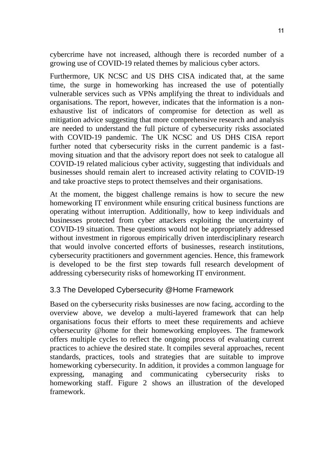cybercrime have not increased, although there is recorded number of a growing use of COVID-19 related themes by malicious cyber actors.

Furthermore, UK NCSC and US DHS CISA indicated that, at the same time, the surge in homeworking has increased the use of potentially vulnerable services such as VPNs amplifying the threat to individuals and organisations. The report, however, indicates that the information is a nonexhaustive list of indicators of compromise for detection as well as mitigation advice suggesting that more comprehensive research and analysis are needed to understand the full picture of cybersecurity risks associated with COVID-19 pandemic. The UK NCSC and US DHS CISA report further noted that cybersecurity risks in the current pandemic is a fastmoving situation and that the advisory report does not seek to catalogue all COVID-19 related malicious cyber activity, suggesting that individuals and businesses should remain alert to increased activity relating to COVID-19 and take proactive steps to protect themselves and their organisations.

At the moment, the biggest challenge remains is how to secure the new homeworking IT environment while ensuring critical business functions are operating without interruption. Additionally, how to keep individuals and businesses protected from cyber attackers exploiting the uncertainty of COVID-19 situation. These questions would not be appropriately addressed without investment in rigorous empirically driven interdisciplinary research that would involve concerted efforts of businesses, research institutions, cybersecurity practitioners and government agencies. Hence, this framework is developed to be the first step towards full research development of addressing cybersecurity risks of homeworking IT environment.

#### 3.3 The Developed Cybersecurity @Home Framework

Based on the cybersecurity risks businesses are now facing, according to the overview above, we develop a multi-layered framework that can help organisations focus their efforts to meet these requirements and achieve cybersecurity @home for their homeworking employees. The framework offers multiple cycles to reflect the ongoing process of evaluating current practices to achieve the desired state. It compiles several approaches, recent standards, practices, tools and strategies that are suitable to improve homeworking cybersecurity. In addition, it provides a common language for expressing, managing and communicating cybersecurity risks to homeworking staff. Figure 2 shows an illustration of the developed framework.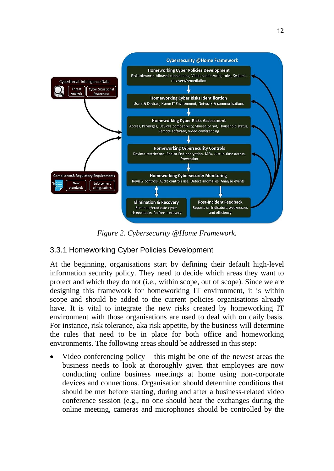

*Figure 2. Cybersecurity @Home Framework.*

## 3.3.1 Homeworking Cyber Policies Development

At the beginning, organisations start by defining their default high-level information security policy. They need to decide which areas they want to protect and which they do not (i.e., within scope, out of scope). Since we are designing this framework for homeworking IT environment, it is within scope and should be added to the current policies organisations already have. It is vital to integrate the new risks created by homeworking IT environment with those organisations are used to deal with on daily basis. For instance, risk tolerance, aka risk appetite, by the business will determine the rules that need to be in place for both office and homeworking environments. The following areas should be addressed in this step:

Video conferencing policy  $-$  this might be one of the newest areas the business needs to look at thoroughly given that employees are now conducting online business meetings at home using non-corporate devices and connections. Organisation should determine conditions that should be met before starting, during and after a business-related video conference session (e.g., no one should hear the exchanges during the online meeting, cameras and microphones should be controlled by the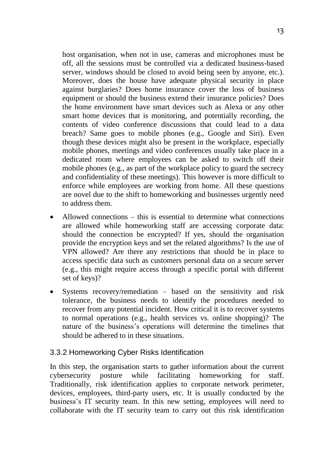host organisation, when not in use, cameras and microphones must be off, all the sessions must be controlled via a dedicated business-based server, windows should be closed to avoid being seen by anyone, etc.). Moreover, does the house have adequate physical security in place against burglaries? Does home insurance cover the loss of business equipment or should the business extend their insurance policies? Does the home environment have smart devices such as Alexa or any other smart home devices that is monitoring, and potentially recording, the contents of video conference discussions that could lead to a data breach? Same goes to mobile phones (e.g., Google and Siri). Even though these devices might also be present in the workplace, especially mobile phones, meetings and video conferences usually take place in a dedicated room where employees can be asked to switch off their mobile phones (e.g., as part of the workplace policy to guard the secrecy and confidentiality of these meetings). This however is more difficult to enforce while employees are working from home. All these questions are novel due to the shift to homeworking and businesses urgently need to address them.

- Allowed connections  $-$  this is essential to determine what connections are allowed while homeworking staff are accessing corporate data: should the connection be encrypted? If yes, should the organisation provide the encryption keys and set the related algorithms? Is the use of VPN allowed? Are there any restrictions that should be in place to access specific data such as customers personal data on a secure server (e.g., this might require access through a specific portal with different set of keys)?
- Systems recovery/remediation based on the sensitivity and risk tolerance, the business needs to identify the procedures needed to recover from any potential incident. How critical it is to recover systems to normal operations (e.g., health services vs. online shopping)? The nature of the business's operations will determine the timelines that should be adhered to in these situations.

#### 3.3.2 Homeworking Cyber Risks Identification

In this step, the organisation starts to gather information about the current cybersecurity posture while facilitating homeworking for staff. Traditionally, risk identification applies to corporate network perimeter, devices, employees, third-party users, etc. It is usually conducted by the business's IT security team. In this new setting, employees will need to collaborate with the IT security team to carry out this risk identification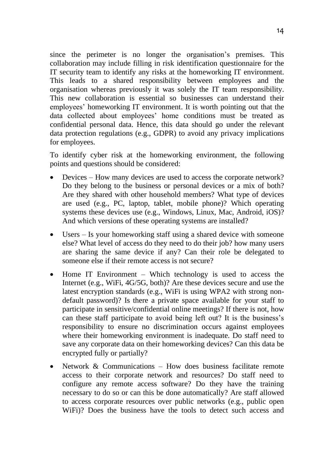since the perimeter is no longer the organisation's premises. This collaboration may include filling in risk identification questionnaire for the IT security team to identify any risks at the homeworking IT environment. This leads to a shared responsibility between employees and the organisation whereas previously it was solely the IT team responsibility. This new collaboration is essential so businesses can understand their employees' homeworking IT environment. It is worth pointing out that the data collected about employees' home conditions must be treated as confidential personal data. Hence, this data should go under the relevant data protection regulations (e.g., GDPR) to avoid any privacy implications for employees.

To identify cyber risk at the homeworking environment, the following points and questions should be considered:

- Devices How many devices are used to access the corporate network? Do they belong to the business or personal devices or a mix of both? Are they shared with other household members? What type of devices are used (e.g., PC, laptop, tablet, mobile phone)? Which operating systems these devices use (e.g., Windows, Linux, Mac, Android, iOS)? And which versions of these operating systems are installed?
- Users Is your homeworking staff using a shared device with someone else? What level of access do they need to do their job? how many users are sharing the same device if any? Can their role be delegated to someone else if their remote access is not secure?
- Home IT Environment Which technology is used to access the Internet (e.g., WiFi, 4G/5G, both)? Are these devices secure and use the latest encryption standards (e.g., WiFi is using WPA2 with strong nondefault password)? Is there a private space available for your staff to participate in sensitive/confidential online meetings? If there is not, how can these staff participate to avoid being left out? It is the business's responsibility to ensure no discrimination occurs against employees where their homeworking environment is inadequate. Do staff need to save any corporate data on their homeworking devices? Can this data be encrypted fully or partially?
- Network & Communications How does business facilitate remote access to their corporate network and resources? Do staff need to configure any remote access software? Do they have the training necessary to do so or can this be done automatically? Are staff allowed to access corporate resources over public networks (e.g., public open WiFi)? Does the business have the tools to detect such access and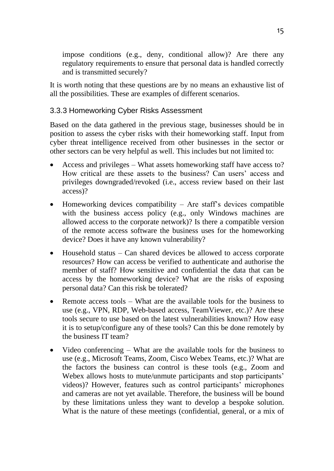impose conditions (e.g., deny, conditional allow)? Are there any regulatory requirements to ensure that personal data is handled correctly and is transmitted securely?

It is worth noting that these questions are by no means an exhaustive list of all the possibilities. These are examples of different scenarios.

#### 3.3.3 Homeworking Cyber Risks Assessment

Based on the data gathered in the previous stage, businesses should be in position to assess the cyber risks with their homeworking staff. Input from cyber threat intelligence received from other businesses in the sector or other sectors can be very helpful as well. This includes but not limited to:

- Access and privileges What assets homeworking staff have access to? How critical are these assets to the business? Can users' access and privileges downgraded/revoked (i.e., access review based on their last access)?
- Homeworking devices compatibility Are staff's devices compatible with the business access policy (e.g., only Windows machines are allowed access to the corporate network)? Is there a compatible version of the remote access software the business uses for the homeworking device? Does it have any known vulnerability?
- Household status Can shared devices be allowed to access corporate resources? How can access be verified to authenticate and authorise the member of staff? How sensitive and confidential the data that can be access by the homeworking device? What are the risks of exposing personal data? Can this risk be tolerated?
- Remote access tools What are the available tools for the business to use (e.g., VPN, RDP, Web-based access, TeamViewer, etc.)? Are these tools secure to use based on the latest vulnerabilities known? How easy it is to setup/configure any of these tools? Can this be done remotely by the business IT team?
- Video conferencing What are the available tools for the business to use (e.g., Microsoft Teams, Zoom, Cisco Webex Teams, etc.)? What are the factors the business can control is these tools (e.g., Zoom and Webex allows hosts to mute/unmute participants and stop participants' videos)? However, features such as control participants' microphones and cameras are not yet available. Therefore, the business will be bound by these limitations unless they want to develop a bespoke solution. What is the nature of these meetings (confidential, general, or a mix of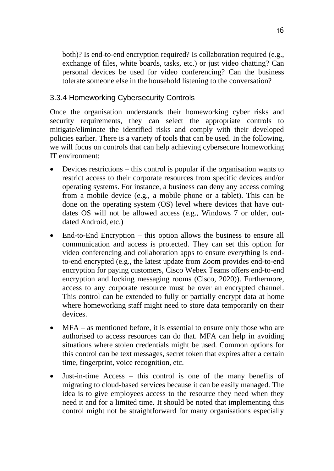both)? Is end-to-end encryption required? Is collaboration required (e.g., exchange of files, white boards, tasks, etc.) or just video chatting? Can personal devices be used for video conferencing? Can the business tolerate someone else in the household listening to the conversation?

#### 3.3.4 Homeworking Cybersecurity Controls

Once the organisation understands their homeworking cyber risks and security requirements, they can select the appropriate controls to mitigate/eliminate the identified risks and comply with their developed policies earlier. There is a variety of tools that can be used. In the following, we will focus on controls that can help achieving cybersecure homeworking IT environment:

- Devices restrictions this control is popular if the organisation wants to restrict access to their corporate resources from specific devices and/or operating systems. For instance, a business can deny any access coming from a mobile device (e.g., a mobile phone or a tablet). This can be done on the operating system (OS) level where devices that have outdates OS will not be allowed access (e.g., Windows 7 or older, outdated Android, etc.)
- End-to-End Encryption this option allows the business to ensure all communication and access is protected. They can set this option for video conferencing and collaboration apps to ensure everything is endto-end encrypted (e.g., the latest update from Zoom provides end-to-end encryption for paying customers, Cisco Webex Teams offers end-to-end encryption and locking messaging rooms (Cisco, 2020)). Furthermore, access to any corporate resource must be over an encrypted channel. This control can be extended to fully or partially encrypt data at home where homeworking staff might need to store data temporarily on their devices.
- MFA as mentioned before, it is essential to ensure only those who are authorised to access resources can do that. MFA can help in avoiding situations where stolen credentials might be used. Common options for this control can be text messages, secret token that expires after a certain time, fingerprint, voice recognition, etc.
- Just-in-time Access this control is one of the many benefits of migrating to cloud-based services because it can be easily managed. The idea is to give employees access to the resource they need when they need it and for a limited time. It should be noted that implementing this control might not be straightforward for many organisations especially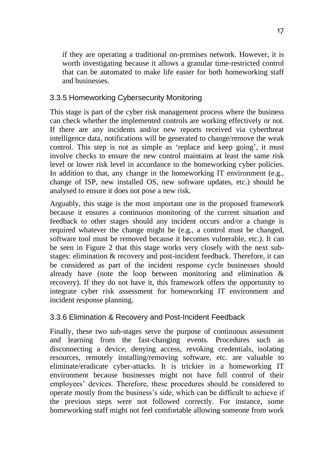if they are operating a traditional on-premises network. However, it is worth investigating because it allows a granular time-restricted control that can be automated to make life easier for both homeworking staff and businesses.

#### 3.3.5 Homeworking Cybersecurity Monitoring

This stage is part of the cyber risk management process where the business can check whether the implemented controls are working effectively or not. If there are any incidents and/or new reports received via cyberthreat intelligence data, notifications will be generated to change/remove the weak control. This step is not as simple as 'replace and keep going', it must involve checks to ensure the new control maintains at least the same risk level or lower risk level in accordance to the homeworking cyber policies. In addition to that, any change in the homeworking IT environment (e.g., change of ISP, new installed OS, new software updates, etc.) should be analysed to ensure it does not pose a new risk.

Arguably, this stage is the most important one in the proposed framework because it ensures a continuous monitoring of the current situation and feedback to other stages should any incident occurs and/or a change is required whatever the change might be (e.g., a control must be changed, software tool must be removed because it becomes vulnerable, etc.). It can be seen in Figure 2 that this stage works very closely with the next substages: elimination & recovery and post-incident feedback. Therefore, it can be considered as part of the incident response cycle businesses should already have (note the loop between monitoring and elimination & recovery). If they do not have it, this framework offers the opportunity to integrate cyber risk assessment for homeworking IT environment and incident response planning.

#### 3.3.6 Elimination & Recovery and Post-Incident Feedback

Finally, these two sub-stages serve the purpose of continuous assessment and learning from the fast-changing events. Procedures such as disconnecting a device, denying access, revoking credentials, isolating resources, remotely installing/removing software, etc. are valuable to eliminate/eradicate cyber-attacks. It is trickier in a homeworking IT environment because businesses might not have full control of their employees' devices. Therefore, these procedures should be considered to operate mostly from the business's side, which can be difficult to achieve if the previous steps were not followed correctly. For instance, some homeworking staff might not feel comfortable allowing someone from work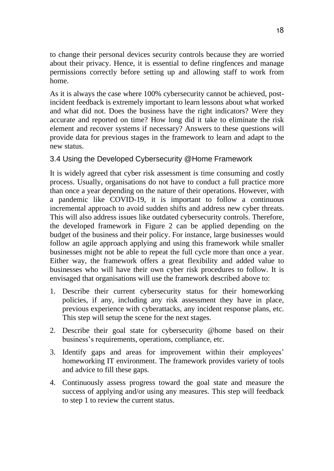to change their personal devices security controls because they are worried about their privacy. Hence, it is essential to define ringfences and manage permissions correctly before setting up and allowing staff to work from home.

As it is always the case where 100% cybersecurity cannot be achieved, postincident feedback is extremely important to learn lessons about what worked and what did not. Does the business have the right indicators? Were they accurate and reported on time? How long did it take to eliminate the risk element and recover systems if necessary? Answers to these questions will provide data for previous stages in the framework to learn and adapt to the new status.

#### 3.4 Using the Developed Cybersecurity @Home Framework

It is widely agreed that cyber risk assessment is time consuming and costly process. Usually, organisations do not have to conduct a full practice more than once a year depending on the nature of their operations. However, with a pandemic like COVID-19, it is important to follow a continuous incremental approach to avoid sudden shifts and address new cyber threats. This will also address issues like outdated cybersecurity controls. Therefore, the developed framework in Figure 2 can be applied depending on the budget of the business and their policy. For instance, large businesses would follow an agile approach applying and using this framework while smaller businesses might not be able to repeat the full cycle more than once a year. Either way, the framework offers a great flexibility and added value to businesses who will have their own cyber risk procedures to follow. It is envisaged that organisations will use the framework described above to:

- 1. Describe their current cybersecurity status for their homeworking policies, if any, including any risk assessment they have in place, previous experience with cyberattacks, any incident response plans, etc. This step will setup the scene for the next stages.
- 2. Describe their goal state for cybersecurity @home based on their business's requirements, operations, compliance, etc.
- 3. Identify gaps and areas for improvement within their employees' homeworking IT environment. The framework provides variety of tools and advice to fill these gaps.
- 4. Continuously assess progress toward the goal state and measure the success of applying and/or using any measures. This step will feedback to step 1 to review the current status.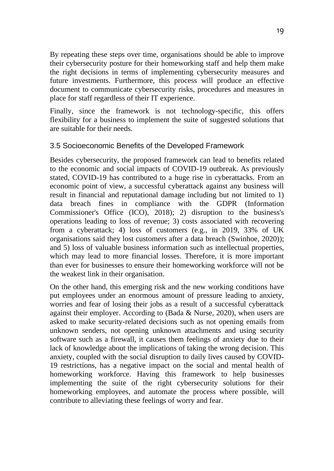By repeating these steps over time, organisations should be able to improve their cybersecurity posture for their homeworking staff and help them make the right decisions in terms of implementing cybersecurity measures and future investments. Furthermore, this process will produce an effective document to communicate cybersecurity risks, procedures and measures in place for staff regardless of their IT experience.

Finally, since the framework is not technology-specific, this offers flexibility for a business to implement the suite of suggested solutions that are suitable for their needs.

#### 3.5 Socioeconomic Benefits of the Developed Framework

Besides cybersecurity, the proposed framework can lead to benefits related to the economic and social impacts of COVID-19 outbreak. As previously stated, COVID-19 has contributed to a huge rise in cyberattacks. From an economic point of view, a successful cyberattack against any business will result in financial and reputational damage including but not limited to 1) data breach fines in compliance with the GDPR (Information Commissioner's Office (ICO), 2018); 2) disruption to the business's operations leading to loss of revenue; 3) costs associated with recovering from a cyberattack; 4) loss of customers (e.g., in 2019, 33% of UK organisations said they lost customers after a data breach (Swinhoe, 2020)); and 5) loss of valuable business information such as intellectual properties, which may lead to more financial losses. Therefore, it is more important than ever for businesses to ensure their homeworking workforce will not be the weakest link in their organisation.

On the other hand, this emerging risk and the new working conditions have put employees under an enormous amount of pressure leading to anxiety, worries and fear of losing their jobs as a result of a successful cyberattack against their employer. According to (Bada & Nurse, 2020), when users are asked to make security-related decisions such as not opening emails from unknown senders, not opening unknown attachments and using security software such as a firewall, it causes them feelings of anxiety due to their lack of knowledge about the implications of taking the wrong decision. This anxiety, coupled with the social disruption to daily lives caused by COVID-19 restrictions, has a negative impact on the social and mental health of homeworking workforce. Having this framework to help businesses implementing the suite of the right cybersecurity solutions for their homeworking employees, and automate the process where possible, will contribute to alleviating these feelings of worry and fear.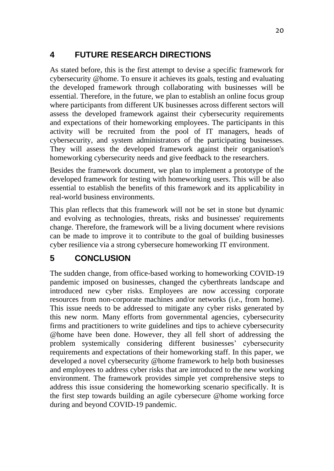# **4 FUTURE RESEARCH DIRECTIONS**

As stated before, this is the first attempt to devise a specific framework for cybersecurity @home. To ensure it achieves its goals, testing and evaluating the developed framework through collaborating with businesses will be essential. Therefore, in the future, we plan to establish an online focus group where participants from different UK businesses across different sectors will assess the developed framework against their cybersecurity requirements and expectations of their homeworking employees. The participants in this activity will be recruited from the pool of IT managers, heads of cybersecurity, and system administrators of the participating businesses. They will assess the developed framework against their organisation's homeworking cybersecurity needs and give feedback to the researchers.

Besides the framework document, we plan to implement a prototype of the developed framework for testing with homeworking users. This will be also essential to establish the benefits of this framework and its applicability in real-world business environments.

This plan reflects that this framework will not be set in stone but dynamic and evolving as technologies, threats, risks and businesses' requirements change. Therefore, the framework will be a living document where revisions can be made to improve it to contribute to the goal of building businesses cyber resilience via a strong cybersecure homeworking IT environment.

# **5 CONCLUSION**

The sudden change, from office-based working to homeworking COVID-19 pandemic imposed on businesses, changed the cyberthreats landscape and introduced new cyber risks. Employees are now accessing corporate resources from non-corporate machines and/or networks (i.e., from home). This issue needs to be addressed to mitigate any cyber risks generated by this new norm. Many efforts from governmental agencies, cybersecurity firms and practitioners to write guidelines and tips to achieve cybersecurity @home have been done. However, they all fell short of addressing the problem systemically considering different businesses' cybersecurity requirements and expectations of their homeworking staff. In this paper, we developed a novel cybersecurity @home framework to help both businesses and employees to address cyber risks that are introduced to the new working environment. The framework provides simple yet comprehensive steps to address this issue considering the homeworking scenario specifically. It is the first step towards building an agile cybersecure @home working force during and beyond COVID-19 pandemic.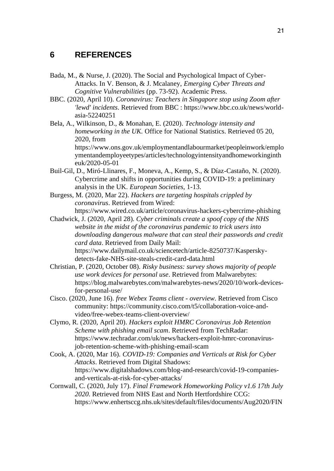#### **6 REFERENCES**

- Bada, M., & Nurse, J. (2020). The Social and Psychological Impact of Cyber-Attacks. In V. Benson, & J. Mcalaney, *Emerging Cyber Threats and Cognitive Vulnerabilities* (pp. 73-92). Academic Press.
- BBC. (2020, April 10). *Coronavirus: Teachers in Singapore stop using Zoom after 'lewd' incidents*. Retrieved from BBC : https://www.bbc.co.uk/news/worldasia-52240251
- Bela, A., Wilkinson, D., & Monahan, E. (2020). *Technology intensity and homeworking in the UK.* Office for National Statistics. Retrieved 05 20, 2020, from

https://www.ons.gov.uk/employmentandlabourmarket/peopleinwork/emplo ymentandemployeetypes/articles/technologyintensityandhomeworkinginth euk/2020-05-01

Buil-Gil, D., Miró-Llinares, F., Moneva, A., Kemp, S., & Díaz-Castaño, N. (2020). Cybercrime and shifts in opportunities during COVID-19: a preliminary analysis in the UK. *European Societies*, 1-13.

Burgess, M. (2020, Mar 22). *Hackers are targeting hospitals crippled by coronavirus*. Retrieved from Wired: https://www.wired.co.uk/article/coronavirus-hackers-cybercrime-phishing

Chadwick, J. (2020, April 28). *Cyber criminals create a spoof copy of the NHS website in the midst of the coronavirus pandemic to trick users into downloading dangerous malware that can steal their passwords and credit card data*. Retrieved from Daily Mail: https://www.dailymail.co.uk/sciencetech/article-8250737/Kasperskydetects-fake-NHS-site-steals-credit-card-data.html

- Christian, P. (2020, October 08). *Risky business: survey shows majority of people use work devices for personal use*. Retrieved from Malwarebytes: https://blog.malwarebytes.com/malwarebytes-news/2020/10/work-devicesfor-personal-use/
- Cisco. (2020, June 16). *free Webex Teams client - overview*. Retrieved from Cisco community: https://community.cisco.com/t5/collaboration-voice-andvideo/free-webex-teams-client-overview/
- Clymo, R. (2020, April 20). *Hackers exploit HMRC Coronavirus Job Retention Scheme with phishing email scam*. Retrieved from TechRadar: https://www.techradar.com/uk/news/hackers-exploit-hmrc-coronavirusjob-retention-scheme-with-phishing-email-scam
- Cook, A. (2020, Mar 16). *COVID-19: Companies and Verticals at Risk for Cyber Attacks*. Retrieved from Digital Shadows: https://www.digitalshadows.com/blog-and-research/covid-19-companiesand-verticals-at-risk-for-cyber-attacks/
- Cornwall, C. (2020, July 17). *Final Framework Homeworking Policy v1.6 17th July 2020.* Retrieved from NHS East and North Hertfordshire CCG: https://www.enhertsccg.nhs.uk/sites/default/files/documents/Aug2020/FIN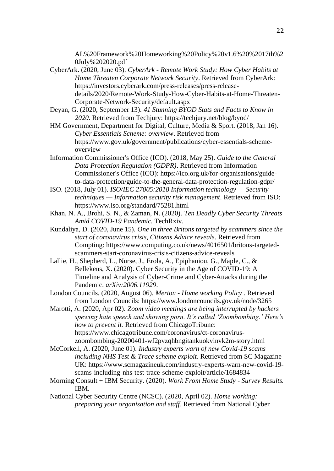AL%20Framework%20Homeworking%20Policy%20v1.6%20%2017th%2 0July%202020.pdf

- CyberArk. (2020, June 03). *CyberArk - Remote Work Study: How Cyber Habits at Home Threaten Corporate Network Security*. Retrieved from CyberArk: https://investors.cyberark.com/press-releases/press-releasedetails/2020/Remote-Work-Study-How-Cyber-Habits-at-Home-Threaten-Corporate-Network-Security/default.aspx
- Deyan, G. (2020, September 13). *41 Stunning BYOD Stats and Facts to Know in 2020*. Retrieved from Techjury: https://techjury.net/blog/byod/
- HM Government, Department for Digital, Culture, Media & Sport. (2018, Jan 16). *Cyber Essentials Scheme: overview*. Retrieved from https://www.gov.uk/government/publications/cyber-essentials-schemeoverview
- Information Commissioner's Office (ICO). (2018, May 25). *Guide to the General Data Protection Regulation (GDPR)*. Retrieved from Information Commissioner's Office (ICO): https://ico.org.uk/for-organisations/guideto-data-protection/guide-to-the-general-data-protection-regulation-gdpr/
- ISO. (2018, July 01). *ISO/IEC 27005:2018 Information technology — Security techniques — Information security risk management*. Retrieved from ISO: https://www.iso.org/standard/75281.html
- Khan, N. A., Brohi, S. N., & Zaman, N. (2020). *Ten Deadly Cyber Security Threats Amid COVID-19 Pandemic.* TechRxiv.
- Kundaliya, D. (2020, June 15). *One in three Britons targeted by scammers since the start of coronavirus crisis, Citizens Advice reveals*. Retrieved from Compting: https://www.computing.co.uk/news/4016501/britons-targetedscammers-start-coronavirus-crisis-citizens-advice-reveals
- Lallie, H., Shepherd, L., Nurse, J., Erola, A., Epiphaniou, G., Maple, C., & Bellekens, X. (2020). Cyber Security in the Age of COVID-19: A Timeline and Analysis of Cyber-Crime and Cyber-Attacks during the Pandemic. *arXiv:2006.11929*.
- London Councils. (2020, August 06). *Merton - Home working Policy .* Retrieved from London Councils: https://www.londoncouncils.gov.uk/node/3265

Marotti, A. (2020, Apr 02). *Zoom video meetings are being interrupted by hackers spewing hate speech and showing porn. It's called 'Zoombombing.' Here's how to prevent it.* Retrieved from ChicagoTribune: https://www.chicagotribune.com/coronavirus/ct-coronaviruszoombombing-20200401-wf2pvzqhbngitankuokvinvk2m-story.html

- McCorkell, A. (2020, June 01). *Industry experts warn of new Covid-19 scams including NHS Test & Trace scheme exploit*. Retrieved from SC Magazine UK: https://www.scmagazineuk.com/industry-experts-warn-new-covid-19 scams-including-nhs-test-trace-scheme-exploit/article/1684834
- Morning Consult + IBM Security. (2020). *Work From Home Study - Survey Results.* IBM.
- National Cyber Security Centre (NCSC). (2020, April 02). *Home working: preparing your organisation and staff*. Retrieved from National Cyber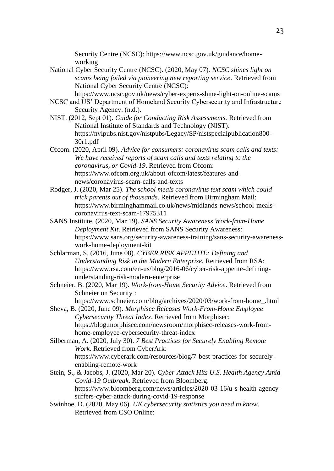Security Centre (NCSC): https://www.ncsc.gov.uk/guidance/homeworking

- National Cyber Security Centre (NCSC). (2020, May 07). *NCSC shines light on scams being foiled via pioneering new reporting service*. Retrieved from National Cyber Security Centre (NCSC): https://www.ncsc.gov.uk/news/cyber-experts-shine-light-on-online-scams
- NCSC and US' Department of Homeland Security Cybersecurity and Infrastructure Security Agency. (n.d.).
- NIST. (2012, Sept 01). *Guide for Conducting Risk Assessments.* Retrieved from National Institute of Standards and Technology (NIST): https://nvlpubs.nist.gov/nistpubs/Legacy/SP/nistspecialpublication800- 30r1.pdf
- Ofcom. (2020, April 09). *Advice for consumers: coronavirus scam calls and texts: We have received reports of scam calls and texts relating to the coronavirus, or Covid-19*. Retrieved from Ofcom: https://www.ofcom.org.uk/about-ofcom/latest/features-andnews/coronavirus-scam-calls-and-texts
- Rodger, J. (2020, Mar 25). *The school meals coronavirus text scam which could trick parents out of thousands*. Retrieved from Birmingham Mail: https://www.birminghammail.co.uk/news/midlands-news/school-mealscoronavirus-text-scam-17975311
- SANS Institute. (2020, Mar 19). *SANS Security Awareness Work-from-Home Deployment Kit*. Retrieved from SANS Security Awareness: https://www.sans.org/security-awareness-training/sans-security-awarenesswork-home-deployment-kit
- Schlarman, S. (2016, June 08). *CYBER RISK APPETITE: Defining and Understanding Risk in the Modern Enterprise.* Retrieved from RSA: https://www.rsa.com/en-us/blog/2016-06/cyber-risk-appetite-definingunderstanding-risk-modern-enterprise
- Schneier, B. (2020, Mar 19). *Work-from-Home Security Advice*. Retrieved from Schneier on Security :

https://www.schneier.com/blog/archives/2020/03/work-from-home\_.html

- Sheva, B. (2020, June 09). *Morphisec Releases Work-From-Home Employee Cybersecurity Threat Index*. Retrieved from Morphisec: https://blog.morphisec.com/newsroom/morphisec-releases-work-fromhome-employee-cybersecurity-threat-index
- Silberman, A. (2020, July 30). *7 Best Practices for Securely Enabling Remote Work*. Retrieved from CyberArk: https://www.cyberark.com/resources/blog/7-best-practices-for-securelyenabling-remote-work
- Stein, S., & Jacobs, J. (2020, Mar 20). *Cyber-Attack Hits U.S. Health Agency Amid Covid-19 Outbreak*. Retrieved from Bloomberg: https://www.bloomberg.com/news/articles/2020-03-16/u-s-health-agencysuffers-cyber-attack-during-covid-19-response
- Swinhoe, D. (2020, May 06). *UK cybersecurity statistics you need to know*. Retrieved from CSO Online: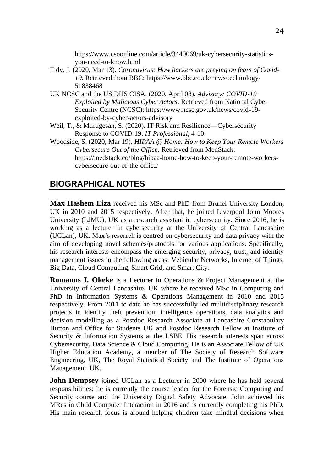https://www.csoonline.com/article/3440069/uk-cybersecurity-statisticsyou-need-to-know.html

- Tidy, J. (2020, Mar 13). *Coronavirus: How hackers are preying on fears of Covid-19*. Retrieved from BBC: https://www.bbc.co.uk/news/technology-51838468
- UK NCSC and the US DHS CISA. (2020, April 08). *Advisory: COVID-19 Exploited by Malicious Cyber Actors*. Retrieved from National Cyber Security Centre (NCSC): https://www.ncsc.gov.uk/news/covid-19 exploited-by-cyber-actors-advisory
- Weil, T., & Murugesan, S. (2020). IT Risk and Resilience—Cybersecurity Response to COVID-19. *IT Professional*, 4-10.
- Woodside, S. (2020, Mar 19). *HIPAA @ Home: How to Keep Your Remote Workers Cybersecure Out of the Office*. Retrieved from MedStack: https://medstack.co/blog/hipaa-home-how-to-keep-your-remote-workerscybersecure-out-of-the-office/

## **BIOGRAPHICAL NOTES**

**Max Hashem Eiza** received his MSc and PhD from Brunel University London, UK in 2010 and 2015 respectively. After that, he joined Liverpool John Moores University (LJMU), UK as a research assistant in cybersecurity. Since 2016, he is working as a lecturer in cybersecurity at the University of Central Lancashire (UCLan), UK. Max's research is centred on cybersecurity and data privacy with the aim of developing novel schemes/protocols for various applications. Specifically, his research interests encompass the emerging security, privacy, trust, and identity management issues in the following areas: Vehicular Networks, Internet of Things, Big Data, Cloud Computing, Smart Grid, and Smart City.

**Romanus I. Okeke** is a Lecturer in Operations & Project Management at the University of Central Lancashire, UK where he received MSc in Computing and PhD in Information Systems & Operations Management in 2010 and 2015 respectively. From 2011 to date he has successfully led multidisciplinary research projects in identity theft prevention, intelligence operations, data analytics and decision modelling as a Postdoc Research Associate at Lancashire Constabulary Hutton and Office for Students UK and Postdoc Research Fellow at Institute of Security & Information Systems at the LSBE. His research interests span across Cybersecurity, Data Science & Cloud Computing. He is an Associate Fellow of UK Higher Education Academy, a member of The Society of Research Software Engineering, UK, The Royal Statistical Society and The Institute of Operations Management, UK.

**John Dempsey** joined UCLan as a Lecturer in 2000 where he has held several responsibilities; he is currently the course leader for the Forensic Computing and Security course and the University Digital Safety Advocate. John achieved his MRes in Child Computer Interaction in 2016 and is currently completing his PhD. His main research focus is around helping children take mindful decisions when